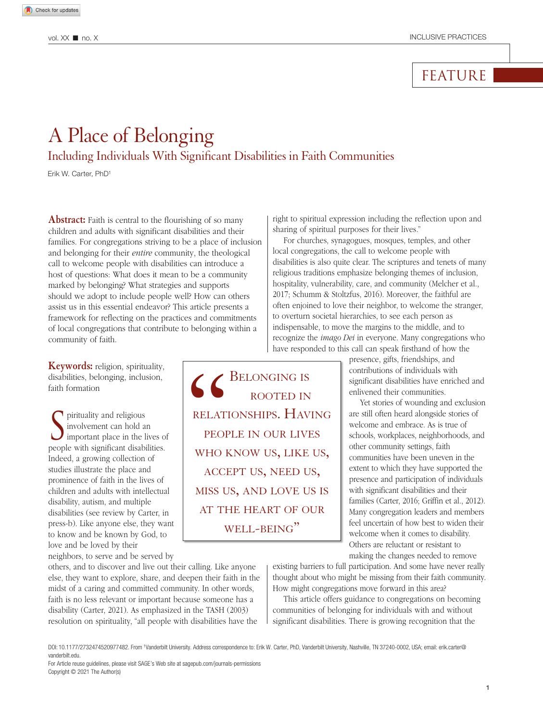## FEATURE

# A Place of Belonging

Including Individuals With Significant Disabilities in Faith Communities

Erik W. Carter, PhD1

**Abstract:** Faith is central to the flourishing of so many children and adults with significant disabilities and their families. For congregations striving to be a place of inclusion and belonging for their *entire* community, the theological call to welcome people with disabilities can introduce a host of questions: What does it mean to be a community marked by belonging? What strategies and supports should we adopt to include people well? How can others assist us in this essential endeavor? This article presents a framework for reflecting on the practices and commitments of local congregations that contribute to belonging within a community of faith.

**Keywords:** religion, spirituality, disabilities, belonging, inclusion, faith formation

**S** pirituality and religious<br>
important place in the lives of<br>
interval in the lives of involvement can hold an people with significant disabilities. Indeed, a growing collection of studies illustrate the place and prominence of faith in the lives of children and adults with intellectual disability, autism, and multiple disabilities (see review by Carter, in press-b). Like anyone else, they want to know and be known by God, to love and be loved by their

neighbors, to serve and be served by

others, and to discover and live out their calling. Like anyone else, they want to explore, share, and deepen their faith in the midst of a caring and committed community. In other words, faith is no less relevant or important because someone has a disability (Carter, 2021). As emphasized in the TASH (2003) resolution on spirituality, "all people with disabilities have the

right to spiritual expression including the reflection upon and sharing of spiritual purposes for their lives."

For churches, synagogues, mosques, temples, and other local congregations, the call to welcome people with disabilities is also quite clear. The scriptures and tenets of many religious traditions emphasize belonging themes of inclusion, hospitality, vulnerability, care, and community (Melcher et al., 2017; Schumm & Stoltzfus, 2016). Moreover, the faithful are often enjoined to love their neighbor, to welcome the stranger, to overturn societal hierarchies, to see each person as indispensable, to move the margins to the middle, and to recognize the *imago Dei* in everyone. Many congregations who have responded to this call can speak firsthand of how the

> presence, gifts, friendships, and contributions of individuals with significant disabilities have enriched and enlivened their communities.

> Yet stories of wounding and exclusion are still often heard alongside stories of welcome and embrace. As is true of schools, workplaces, neighborhoods, and other community settings, faith communities have been uneven in the extent to which they have supported the presence and participation of individuals with significant disabilities and their families (Carter, 2016; Griffin et al., 2012). Many congregation leaders and members feel uncertain of how best to widen their welcome when it comes to disability. Others are reluctant or resistant to making the changes needed to remove

existing barriers to full participation. And some have never really thought about who might be missing from their faith community. How might congregations move forward in this area?

This article offers guidance to congregations on becoming communities of belonging for individuals with and without significant disabilities. There is growing recognition that the

CONGING IS<br>
ROOTED IN<br>
RELATIONSHIPS. HAV<br>
PEOPLE IN OUR LIV.<br>
WHO KNOW US, LIKE

relationships. Having

people in our lives

who know us, like us,

accept us, need us,

miss us, and love us is

at the heart of our WELL-BEING"

rooted in

DOI: 10.1177/2732474520977482. From 1Vanderbilt University. Address correspondence to: Erik W. Carter, PhD, Vanderbilt University, Nashville, TN 37240-0002, USA; email: [erik.carter@](mailto: erik.carter@vanderbilt.edu) [vanderbilt.edu.](mailto: erik.carter@vanderbilt.edu)

For Article reuse guidelines, please visit SAGE's Web site at [sagepub.com/journals-permissions](https://us.sagepub.com/en-us/journals-permissions
) Copyright © 2021 The Author(s)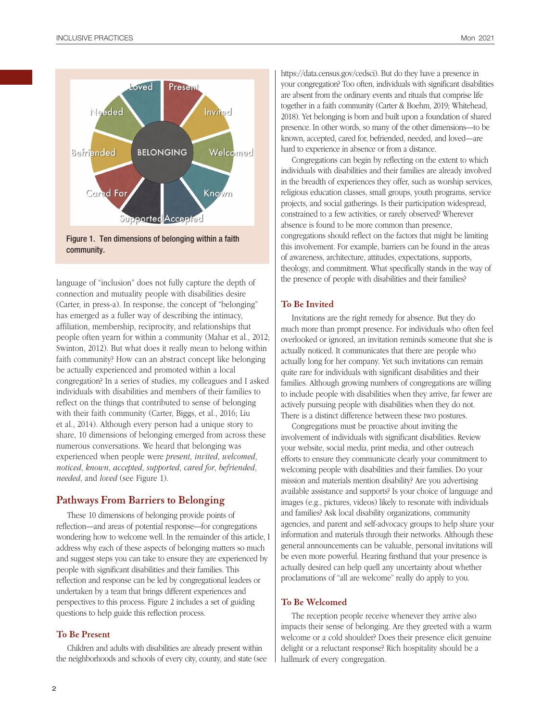





language of "inclusion" does not fully capture the depth of connection and mutuality people with disabilities desire (Carter, in press-a). In response, the concept of "belonging" has emerged as a fuller way of describing the intimacy, affiliation, membership, reciprocity, and relationships that people often yearn for within a community (Mahar et al., 2012; Swinton, 2012). But what does it really mean to belong within faith community? How can an abstract concept like belonging be actually experienced and promoted within a local congregation? In a series of studies, my colleagues and I asked individuals with disabilities and members of their families to reflect on the things that contributed to sense of belonging with their faith community (Carter, Biggs, et al., 2016; Liu et al., 2014). Although every person had a unique story to share, 10 dimensions of belonging emerged from across these numerous conversations. We heard that belonging was experienced when people were *present*, *invited*, *welcomed*, *noticed*, *known*, *accepted*, *supported*, *cared for*, *befriended*, *needed*, and *loved* (see Figure 1).

## **Pathways From Barriers to Belonging**

These 10 dimensions of belonging provide points of reflection—and areas of potential response—for congregations wondering how to welcome well. In the remainder of this article, I address why each of these aspects of belonging matters so much and suggest steps you can take to ensure they are experienced by people with significant disabilities and their families. This reflection and response can be led by congregational leaders or undertaken by a team that brings different experiences and perspectives to this process. Figure 2 includes a set of guiding questions to help guide this reflection process.

## **To Be Present**

Children and adults with disabilities are already present within the neighborhoods and schools of every city, county, and state (see <https://data.census.gov/cedsci>). But do they have a presence in your congregation? Too often, individuals with significant disabilities are absent from the ordinary events and rituals that comprise life together in a faith community (Carter & Boehm, 2019; Whitehead, 2018). Yet belonging is born and built upon a foundation of shared presence. In other words, so many of the other dimensions—to be known, accepted, cared for, befriended, needed, and loved—are hard to experience in absence or from a distance.

Congregations can begin by reflecting on the extent to which individuals with disabilities and their families are already involved in the breadth of experiences they offer, such as worship services, religious education classes, small groups, youth programs, service projects, and social gatherings. Is their participation widespread, constrained to a few activities, or rarely observed? Wherever absence is found to be more common than presence, congregations should reflect on the factors that might be limiting this involvement. For example, barriers can be found in the areas of awareness, architecture, attitudes, expectations, supports, theology, and commitment. What specifically stands in the way of the presence of people with disabilities and their families?

### **To Be Invited**

Invitations are the right remedy for absence. But they do much more than prompt presence. For individuals who often feel overlooked or ignored, an invitation reminds someone that she is actually noticed. It communicates that there are people who actually long for her company. Yet such invitations can remain quite rare for individuals with significant disabilities and their families. Although growing numbers of congregations are willing to include people with disabilities when they arrive, far fewer are actively pursuing people with disabilities when they do not. There is a distinct difference between these two postures.

Congregations must be proactive about inviting the involvement of individuals with significant disabilities. Review your website, social media, print media, and other outreach efforts to ensure they communicate clearly your commitment to welcoming people with disabilities and their families. Do your mission and materials mention disability? Are you advertising available assistance and supports? Is your choice of language and images (e.g., pictures, videos) likely to resonate with individuals and families? Ask local disability organizations, community agencies, and parent and self-advocacy groups to help share your information and materials through their networks. Although these general announcements can be valuable, personal invitations will be even more powerful. Hearing firsthand that your presence is actually desired can help quell any uncertainty about whether proclamations of "all are welcome" really do apply to you.

#### **To Be Welcomed**

The reception people receive whenever they arrive also impacts their sense of belonging. Are they greeted with a warm welcome or a cold shoulder? Does their presence elicit genuine delight or a reluctant response? Rich hospitality should be a hallmark of every congregation.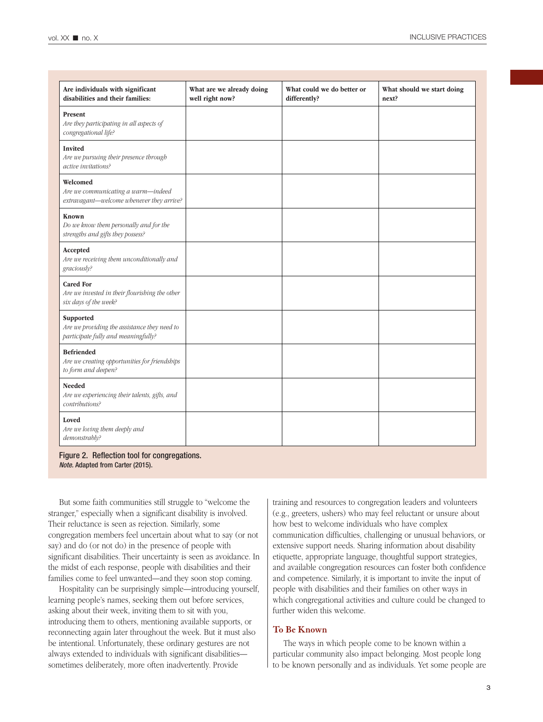| Are individuals with significant<br>disabilities and their families:                             | What are we already doing<br>well right now? | What could we do better or<br>differently? | What should we start doing<br>next? |
|--------------------------------------------------------------------------------------------------|----------------------------------------------|--------------------------------------------|-------------------------------------|
| Present<br>Are they participating in all aspects of<br>congregational life?                      |                                              |                                            |                                     |
| <b>Invited</b><br>Are we pursuing their presence through<br>active invitations?                  |                                              |                                            |                                     |
| Welcomed<br>Are we communicating a warm-indeed<br>extravagant-welcome whenever they arrive?      |                                              |                                            |                                     |
| Known<br>Do we know them personally and for the<br>strengths and gifts they possess?             |                                              |                                            |                                     |
| Accepted<br>Are we receiving them unconditionally and<br>graciously?                             |                                              |                                            |                                     |
| <b>Cared For</b><br>Are we invested in their flourishing the other<br>six days of the week?      |                                              |                                            |                                     |
| Supported<br>Are we providing the assistance they need to<br>participate fully and meaningfully? |                                              |                                            |                                     |
| <b>Befriended</b><br>Are we creating opportunities for friendships<br>to form and deepen?        |                                              |                                            |                                     |
| <b>Needed</b><br>Are we experiencing their talents, gifts, and<br>contributions?                 |                                              |                                            |                                     |
| Loved<br>Are we loving them deeply and<br>demonstrably?                                          |                                              |                                            |                                     |

Figure 2. Reflection tool for congregations. *Note.* Adapted from Carter (2015).

But some faith communities still struggle to "welcome the stranger," especially when a significant disability is involved. Their reluctance is seen as rejection. Similarly, some congregation members feel uncertain about what to say (or not say) and do (or not do) in the presence of people with significant disabilities. Their uncertainty is seen as avoidance. In the midst of each response, people with disabilities and their families come to feel unwanted—and they soon stop coming.

Hospitality can be surprisingly simple—introducing yourself, learning people's names, seeking them out before services, asking about their week, inviting them to sit with you, introducing them to others, mentioning available supports, or reconnecting again later throughout the week. But it must also be intentional. Unfortunately, these ordinary gestures are not always extended to individuals with significant disabilities sometimes deliberately, more often inadvertently. Provide

training and resources to congregation leaders and volunteers (e.g., greeters, ushers) who may feel reluctant or unsure about how best to welcome individuals who have complex communication difficulties, challenging or unusual behaviors, or extensive support needs. Sharing information about disability etiquette, appropriate language, thoughtful support strategies, and available congregation resources can foster both confidence and competence. Similarly, it is important to invite the input of people with disabilities and their families on other ways in which congregational activities and culture could be changed to further widen this welcome.

## **To Be Known**

The ways in which people come to be known within a particular community also impact belonging. Most people long to be known personally and as individuals. Yet some people are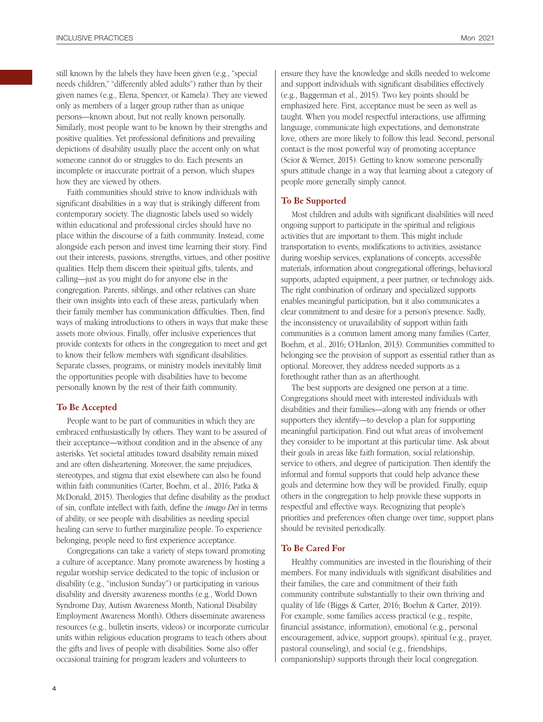still known by the labels they have been given (e.g., "special needs children," "differently abled adults") rather than by their given names (e.g., Elena, Spencer, or Kamela). They are viewed only as members of a larger group rather than as unique persons—known about, but not really known personally. Similarly, most people want to be known by their strengths and positive qualities. Yet professional definitions and prevailing depictions of disability usually place the accent only on what someone cannot do or struggles to do. Each presents an incomplete or inaccurate portrait of a person, which shapes how they are viewed by others.

Faith communities should strive to know individuals with significant disabilities in a way that is strikingly different from contemporary society. The diagnostic labels used so widely within educational and professional circles should have no place within the discourse of a faith community. Instead, come alongside each person and invest time learning their story. Find out their interests, passions, strengths, virtues, and other positive qualities. Help them discern their spiritual gifts, talents, and calling—just as you might do for anyone else in the congregation. Parents, siblings, and other relatives can share their own insights into each of these areas, particularly when their family member has communication difficulties. Then, find ways of making introductions to others in ways that make these assets more obvious. Finally, offer inclusive experiences that provide contexts for others in the congregation to meet and get to know their fellow members with significant disabilities. Separate classes, programs, or ministry models inevitably limit the opportunities people with disabilities have to become personally known by the rest of their faith community.

## **To Be Accepted**

People want to be part of communities in which they are embraced enthusiastically by others. They want to be assured of their acceptance—without condition and in the absence of any asterisks. Yet societal attitudes toward disability remain mixed and are often disheartening. Moreover, the same prejudices, stereotypes, and stigma that exist elsewhere can also be found within faith communities (Carter, Boehm, et al., 2016; Patka & McDonald, 2015). Theologies that define disability as the product of sin, conflate intellect with faith, define the *imago Dei* in terms of ability, or see people with disabilities as needing special healing can serve to further marginalize people. To experience belonging, people need to first experience acceptance.

Congregations can take a variety of steps toward promoting a culture of acceptance. Many promote awareness by hosting a regular worship service dedicated to the topic of inclusion or disability (e.g., "inclusion Sunday") or participating in various disability and diversity awareness months (e.g., World Down Syndrome Day, Autism Awareness Month, National Disability Employment Awareness Month). Others disseminate awareness resources (e.g., bulletin inserts, videos) or incorporate curricular units within religious education programs to teach others about the gifts and lives of people with disabilities. Some also offer occasional training for program leaders and volunteers to

ensure they have the knowledge and skills needed to welcome and support individuals with significant disabilities effectively (e.g., Baggerman et al., 2015). Two key points should be emphasized here. First, acceptance must be seen as well as taught. When you model respectful interactions, use affirming language, communicate high expectations, and demonstrate love, others are more likely to follow this lead. Second, personal contact is the most powerful way of promoting acceptance (Scior & Werner, 2015). Getting to know someone personally spurs attitude change in a way that learning about a category of people more generally simply cannot.

## **To Be Supported**

Most children and adults with significant disabilities will need ongoing support to participate in the spiritual and religious activities that are important to them. This might include transportation to events, modifications to activities, assistance during worship services, explanations of concepts, accessible materials, information about congregational offerings, behavioral supports, adapted equipment, a peer partner, or technology aids. The right combination of ordinary and specialized supports enables meaningful participation, but it also communicates a clear commitment to and desire for a person's presence. Sadly, the inconsistency or unavailability of support within faith communities is a common lament among many families (Carter, Boehm, et al., 2016; O'Hanlon, 2013). Communities committed to belonging see the provision of support as essential rather than as optional. Moreover, they address needed supports as a forethought rather than as an afterthought.

The best supports are designed one person at a time. Congregations should meet with interested individuals with disabilities and their families—along with any friends or other supporters they identify—to develop a plan for supporting meaningful participation. Find out what areas of involvement they consider to be important at this particular time. Ask about their goals in areas like faith formation, social relationship, service to others, and degree of participation. Then identify the informal and formal supports that could help advance these goals and determine how they will be provided. Finally, equip others in the congregation to help provide these supports in respectful and effective ways. Recognizing that people's priorities and preferences often change over time, support plans should be revisited periodically.

## **To Be Cared For**

Healthy communities are invested in the flourishing of their members. For many individuals with significant disabilities and their families, the care and commitment of their faith community contribute substantially to their own thriving and quality of life (Biggs & Carter, 2016; Boehm & Carter, 2019). For example, some families access practical (e.g., respite, financial assistance, information), emotional (e.g., personal encouragement, advice, support groups), spiritual (e.g., prayer, pastoral counseling), and social (e.g., friendships, companionship) supports through their local congregation.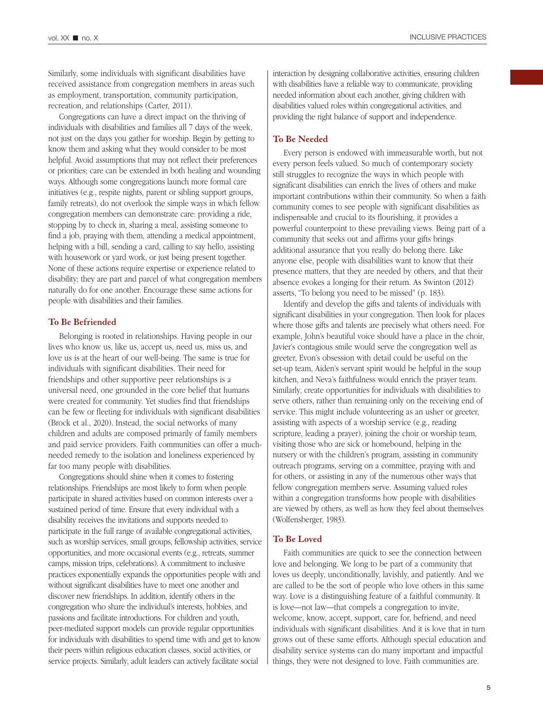Similarly, some individuals with significant disabilities have received assistance from congregation members in areas such as employment, transportation, community participation, recreation, and relationships (Carter, 2011).

Congregations can have a direct impact on the thriving of individuals with disabilities and families all 7 days of the week, not just on the days you gather for worship. Begin by getting to know them and asking what they would consider to be most helpful. Avoid assumptions that may not reflect their preferences or priorities; care can be extended in both healing and wounding ways. Although some congregations launch more formal care initiatives (e.g., respite nights, parent or sibling support groups, family retreats), do not overlook the simple ways in which fellow congregation members can demonstrate care: providing a ride, stopping by to check in, sharing a meal, assisting someone to find a job, praying with them, attending a medical appointment, helping with a bill, sending a card, calling to say hello, assisting with housework or yard work, or just being present together. None of these actions require expertise or experience related to disability; they are part and parcel of what congregation members naturally do for one another. Encourage these same actions for people with disabilities and their families.

#### **To Be Befriended**

Belonging is rooted in relationships. Having people in our lives who know us, like us, accept us, need us, miss us, and love us is at the heart of our well-being. The same is true for individuals with significant disabilities. Their need for friendships and other supportive peer relationships is a universal need, one grounded in the core belief that humans were created for community. Yet studies find that friendships can be few or fleeting for individuals with significant disabilities (Brock et al., 2020). Instead, the social networks of many children and adults are composed primarily of family members and paid service providers. Faith communities can offer a muchneeded remedy to the isolation and loneliness experienced by far too many people with disabilities.

Congregations should shine when it comes to fostering relationships. Friendships are most likely to form when people participate in shared activities based on common interests over a sustained period of time. Ensure that every individual with a disability receives the invitations and supports needed to participate in the full range of available congregational activities, such as worship services, small groups, fellowship activities, service opportunities, and more occasional events (e.g., retreats, summer camps, mission trips, celebrations). A commitment to inclusive practices exponentially expands the opportunities people with and without significant disabilities have to meet one another and discover new friendships. In addition, identify others in the congregation who share the individual's interests, hobbies, and passions and facilitate introductions. For children and youth, peer-mediated support models can provide regular opportunities for individuals with disabilities to spend time with and get to know their peers within religious education classes, social activities, or service projects. Similarly, adult leaders can actively facilitate social

interaction by designing collaborative activities, ensuring children with disabilities have a reliable way to communicate, providing needed information about each another, giving children with disabilities valued roles within congregational activities, and providing the right balance of support and independence.

#### **To Be Needed**

Every person is endowed with immeasurable worth, but not every person feels valued. So much of contemporary society still struggles to recognize the ways in which people with significant disabilities can enrich the lives of others and make important contributions within their community. So when a faith community comes to see people with significant disabilities as indispensable and crucial to its flourishing, it provides a powerful counterpoint to these prevailing views. Being part of a community that seeks out and affirms your gifts brings additional assurance that you really do belong there. Like anyone else, people with disabilities want to know that their presence matters, that they are needed by others, and that their absence evokes a longing for their return. As Swinton (2012) asserts, "To belong you need to be missed" (p. 183).

Identify and develop the gifts and talents of individuals with significant disabilities in your congregation. Then look for places where those gifts and talents are precisely what others need. For example, John's beautiful voice should have a place in the choir, Javier's contagious smile would serve the congregation well as greeter, Evon's obsession with detail could be useful on the set-up team, Aiden's servant spirit would be helpful in the soup kitchen, and Neva's faithfulness would enrich the prayer team. Similarly, create opportunities for individuals with disabilities to serve others, rather than remaining only on the receiving end of service. This might include volunteering as an usher or greeter, assisting with aspects of a worship service (e.g., reading scripture, leading a prayer), joining the choir or worship team, visiting those who are sick or homebound, helping in the nursery or with the children's program, assisting in community outreach programs, serving on a committee, praying with and for others, or assisting in any of the numerous other ways that fellow congregation members serve. Assuming valued roles within a congregation transforms how people with disabilities are viewed by others, as well as how they feel about themselves (Wolfensberger, 1983).

#### **To Be Loved**

Faith communities are quick to see the connection between love and belonging. We long to be part of a community that loves us deeply, unconditionally, lavishly, and patiently. And we are called to be the sort of people who love others in this same way. Love is a distinguishing feature of a faithful community. It is love—not law—that compels a congregation to invite, welcome, know, accept, support, care for, befriend, and need individuals with significant disabilities. And it is love that in turn grows out of these same efforts. Although special education and disability service systems can do many important and impactful things, they were not designed to love. Faith communities are.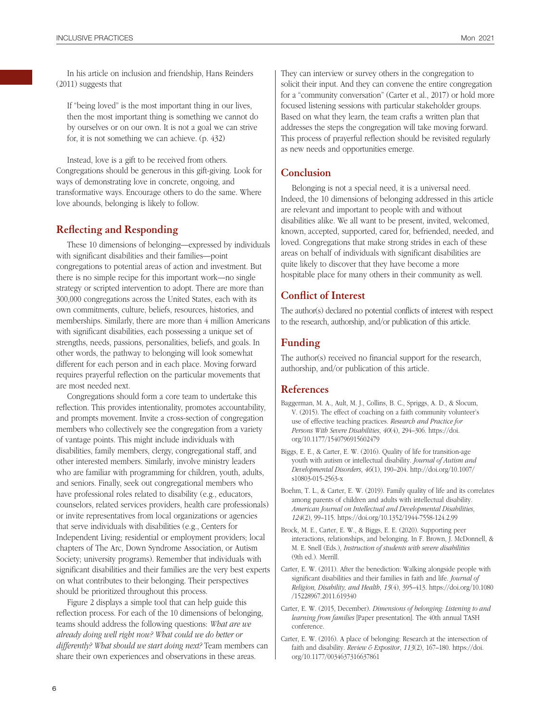In his article on inclusion and friendship, Hans Reinders (2011) suggests that

If "being loved" is the most important thing in our lives, then the most important thing is something we cannot do by ourselves or on our own. It is not a goal we can strive for, it is not something we can achieve. (p. 432)

Instead, love is a gift to be received from others. Congregations should be generous in this gift-giving. Look for ways of demonstrating love in concrete, ongoing, and transformative ways. Encourage others to do the same. Where love abounds, belonging is likely to follow.

## **Reflecting and Responding**

These 10 dimensions of belonging—expressed by individuals with significant disabilities and their families—point congregations to potential areas of action and investment. But there is no simple recipe for this important work—no single strategy or scripted intervention to adopt. There are more than 300,000 congregations across the United States, each with its own commitments, culture, beliefs, resources, histories, and memberships. Similarly, there are more than 4 million Americans with significant disabilities, each possessing a unique set of strengths, needs, passions, personalities, beliefs, and goals. In other words, the pathway to belonging will look somewhat different for each person and in each place. Moving forward requires prayerful reflection on the particular movements that are most needed next.

Congregations should form a core team to undertake this reflection. This provides intentionality, promotes accountability, and prompts movement. Invite a cross-section of congregation members who collectively see the congregation from a variety of vantage points. This might include individuals with disabilities, family members, clergy, congregational staff, and other interested members. Similarly, involve ministry leaders who are familiar with programming for children, youth, adults, and seniors. Finally, seek out congregational members who have professional roles related to disability (e.g., educators, counselors, related services providers, health care professionals) or invite representatives from local organizations or agencies that serve individuals with disabilities (e.g., Centers for Independent Living; residential or employment providers; local chapters of The Arc, Down Syndrome Association, or Autism Society; university programs). Remember that individuals with significant disabilities and their families are the very best experts on what contributes to their belonging. Their perspectives should be prioritized throughout this process.

Figure 2 displays a simple tool that can help guide this reflection process. For each of the 10 dimensions of belonging, teams should address the following questions: *What are we already doing well right now? What could we do better or differently? What should we start doing next?* Team members can share their own experiences and observations in these areas.

They can interview or survey others in the congregation to solicit their input. And they can convene the entire congregation for a "community conversation" (Carter et al., 2017) or hold more focused listening sessions with particular stakeholder groups. Based on what they learn, the team crafts a written plan that addresses the steps the congregation will take moving forward. This process of prayerful reflection should be revisited regularly as new needs and opportunities emerge.

## **Conclusion**

Belonging is not a special need, it is a universal need. Indeed, the 10 dimensions of belonging addressed in this article are relevant and important to people with and without disabilities alike. We all want to be present, invited, welcomed, known, accepted, supported, cared for, befriended, needed, and loved. Congregations that make strong strides in each of these areas on behalf of individuals with significant disabilities are quite likely to discover that they have become a more hospitable place for many others in their community as well.

## **Conflict of Interest**

The author(s) declared no potential conflicts of interest with respect to the research, authorship, and/or publication of this article.

## **Funding**

The author(s) received no financial support for the research, authorship, and/or publication of this article.

## **References**

- Baggerman, M. A., Ault, M. J., Collins, B. C., Spriggs, A. D., & Slocum, V. (2015). The effect of coaching on a faith community volunteer's use of effective teaching practices. *Research and Practice for Persons With Severe Disabilities*, *40*(4), 294–306. [https://doi.](https://doi.org/10.1177/1540796915602479) [org/10.1177/1540796915602479](https://doi.org/10.1177/1540796915602479)
- Biggs, E. E., & Carter, E. W. (2016). Quality of life for transition-age youth with autism or intellectual disability. *Journal of Autism and Developmental Disorders*, *46*(1), 190–204. [http://doi.org/10.1007/](http://doi.org/10.1007/s10803-015-2563-x) [s10803-015-2563-x](http://doi.org/10.1007/s10803-015-2563-x)
- Boehm, T. L., & Carter, E. W. (2019). Family quality of life and its correlates among parents of children and adults with intellectual disability. *American Journal on Intellectual and Developmental Disabilities*, *124*(2), 99–115.<https://doi.org/10.1352/1944-7558-124.2.99>
- Brock, M. E., Carter, E. W., & Biggs, E. E. (2020). Supporting peer interactions, relationships, and belonging. In F. Brown, J. McDonnell, & M. E. Snell (Eds.), *Instruction of students with severe disabilities* (9th ed.). Merrill.
- Carter, E. W. (2011). After the benediction: Walking alongside people with significant disabilities and their families in faith and life. *Journal of Religion, Disability, and Health*, *15*(4), 395–413. [https://doi.org/10.1080](https://doi.org/10.1080/15228967.2011.619340) [/15228967.2011.619340](https://doi.org/10.1080/15228967.2011.619340)
- Carter, E. W. (2015, December). *Dimensions of belonging: Listening to and learning from families* [Paper presentation]. The 40th annual TASH conference.
- Carter, E. W. (2016). A place of belonging: Research at the intersection of faith and disability. *Review & Expositor*, *113*(2), 167–180. [https://doi.](https://doi.org/10.1177/0034637316637861) [org/10.1177/0034637316637861](https://doi.org/10.1177/0034637316637861)